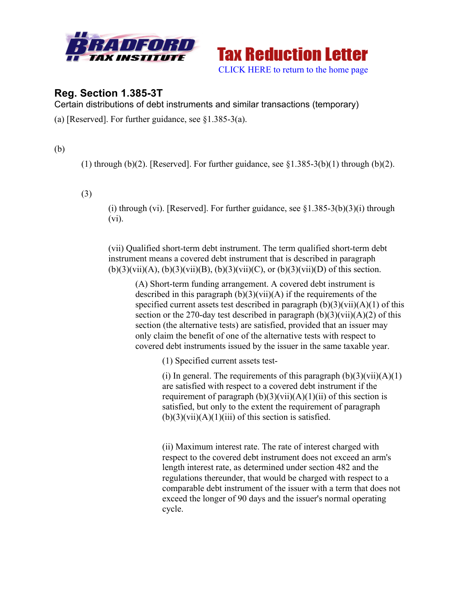



# **Reg. Section 1.385-3T**

Certain distributions of debt instruments and similar transactions (temporary)

(a) [Reserved]. For further guidance, see  $\S 1.385-3(a)$ .

(b)

(1) through (b)(2). [Reserved]. For further guidance, see  $\S1.385-3(b)(1)$  through (b)(2).

(3)

(i) through (vi). [Reserved]. For further guidance, see  $\S1.385-3(b)(3)(i)$  through (vi).

(vii) Qualified short-term debt instrument. The term qualified short-term debt instrument means a covered debt instrument that is described in paragraph  $(b)(3)(vii)(A)$ ,  $(b)(3)(vi)(B)$ ,  $(b)(3)(vii)(C)$ , or  $(b)(3)(vii)(D)$  of this section.

(A) Short-term funding arrangement. A covered debt instrument is described in this paragraph  $(b)(3)(vii)(A)$  if the requirements of the specified current assets test described in paragraph  $(b)(3)(vii)(A)(1)$  of this section or the 270-day test described in paragraph  $(b)(3)(vii)(A)(2)$  of this section (the alternative tests) are satisfied, provided that an issuer may only claim the benefit of one of the alternative tests with respect to covered debt instruments issued by the issuer in the same taxable year.

(1) Specified current assets test-

(i) In general. The requirements of this paragraph  $(b)(3)(\n{\rm vii})(A)(1)$ are satisfied with respect to a covered debt instrument if the requirement of paragraph  $(b)(3)(vi)(A)(1)(ii)$  of this section is satisfied, but only to the extent the requirement of paragraph  $(b)(3)(vii)(A)(1)(iii)$  of this section is satisfied.

(ii) Maximum interest rate. The rate of interest charged with respect to the covered debt instrument does not exceed an arm's length interest rate, as determined under section 482 and the regulations thereunder, that would be charged with respect to a comparable debt instrument of the issuer with a term that does not exceed the longer of 90 days and the issuer's normal operating cycle.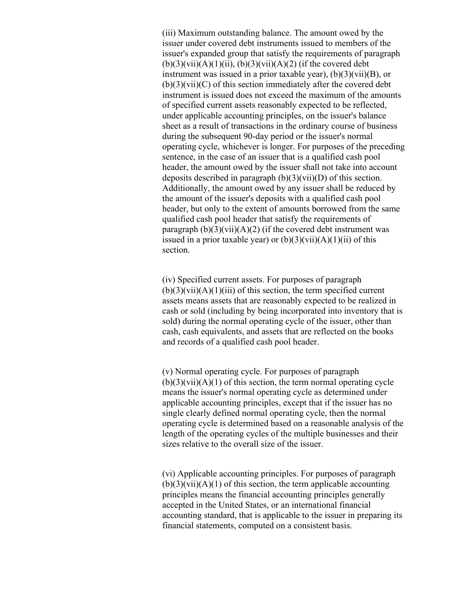(iii) Maximum outstanding balance. The amount owed by the issuer under covered debt instruments issued to members of the issuer's expanded group that satisfy the requirements of paragraph  $(b)(3)(vii)(A)(1)(ii)$ ,  $(b)(3)(vii)(A)(2)$  (if the covered debt instrument was issued in a prior taxable year),  $(b)(3)(\overline{\text{vii}})(B)$ , or (b)(3)(vii)(C) of this section immediately after the covered debt instrument is issued does not exceed the maximum of the amounts of specified current assets reasonably expected to be reflected, under applicable accounting principles, on the issuer's balance sheet as a result of transactions in the ordinary course of business during the subsequent 90-day period or the issuer's normal operating cycle, whichever is longer. For purposes of the preceding sentence, in the case of an issuer that is a qualified cash pool header, the amount owed by the issuer shall not take into account deposits described in paragraph (b)(3)(vii)(D) of this section. Additionally, the amount owed by any issuer shall be reduced by the amount of the issuer's deposits with a qualified cash pool header, but only to the extent of amounts borrowed from the same qualified cash pool header that satisfy the requirements of paragraph  $(b)(3)(vii)(A)(2)$  (if the covered debt instrument was issued in a prior taxable year) or  $(b)(3)(vii)(A)(1)(ii)$  of this section.

(iv) Specified current assets. For purposes of paragraph  $(b)(3)(vii)(A)(1)(iii)$  of this section, the term specified current assets means assets that are reasonably expected to be realized in cash or sold (including by being incorporated into inventory that is sold) during the normal operating cycle of the issuer, other than cash, cash equivalents, and assets that are reflected on the books and records of a qualified cash pool header.

(v) Normal operating cycle. For purposes of paragraph  $(b)(3)(vii)(A)(1)$  of this section, the term normal operating cycle means the issuer's normal operating cycle as determined under applicable accounting principles, except that if the issuer has no single clearly defined normal operating cycle, then the normal operating cycle is determined based on a reasonable analysis of the length of the operating cycles of the multiple businesses and their sizes relative to the overall size of the issuer.

(vi) Applicable accounting principles. For purposes of paragraph  $(b)(3)(vii)(A)(1)$  of this section, the term applicable accounting principles means the financial accounting principles generally accepted in the United States, or an international financial accounting standard, that is applicable to the issuer in preparing its financial statements, computed on a consistent basis.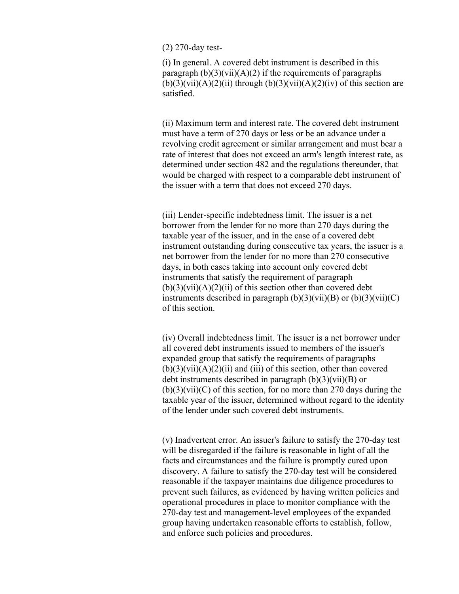#### (2) 270-day test-

(i) In general. A covered debt instrument is described in this paragraph  $(b)(3)(vii)(A)(2)$  if the requirements of paragraphs  $(b)(3)(vii)(A)(2)(ii)$  through  $(b)(3)(vi)(A)(2)(iv)$  of this section are satisfied.

(ii) Maximum term and interest rate. The covered debt instrument must have a term of 270 days or less or be an advance under a revolving credit agreement or similar arrangement and must bear a rate of interest that does not exceed an arm's length interest rate, as determined under section 482 and the regulations thereunder, that would be charged with respect to a comparable debt instrument of the issuer with a term that does not exceed 270 days.

(iii) Lender-specific indebtedness limit. The issuer is a net borrower from the lender for no more than 270 days during the taxable year of the issuer, and in the case of a covered debt instrument outstanding during consecutive tax years, the issuer is a net borrower from the lender for no more than 270 consecutive days, in both cases taking into account only covered debt instruments that satisfy the requirement of paragraph  $(b)(3)(vii)(A)(2)(ii)$  of this section other than covered debt instruments described in paragraph  $(b)(3)(vii)(B)$  or  $(b)(3)(vii)(C)$ of this section.

(iv) Overall indebtedness limit. The issuer is a net borrower under all covered debt instruments issued to members of the issuer's expanded group that satisfy the requirements of paragraphs  $(b)(3)(vii)(A)(2)(ii)$  and (iii) of this section, other than covered debt instruments described in paragraph  $(b)(3)(vii)(B)$  or  $(b)(3)(vii)(C)$  of this section, for no more than 270 days during the taxable year of the issuer, determined without regard to the identity of the lender under such covered debt instruments.

(v) Inadvertent error. An issuer's failure to satisfy the 270-day test will be disregarded if the failure is reasonable in light of all the facts and circumstances and the failure is promptly cured upon discovery. A failure to satisfy the 270-day test will be considered reasonable if the taxpayer maintains due diligence procedures to prevent such failures, as evidenced by having written policies and operational procedures in place to monitor compliance with the 270-day test and management-level employees of the expanded group having undertaken reasonable efforts to establish, follow, and enforce such policies and procedures.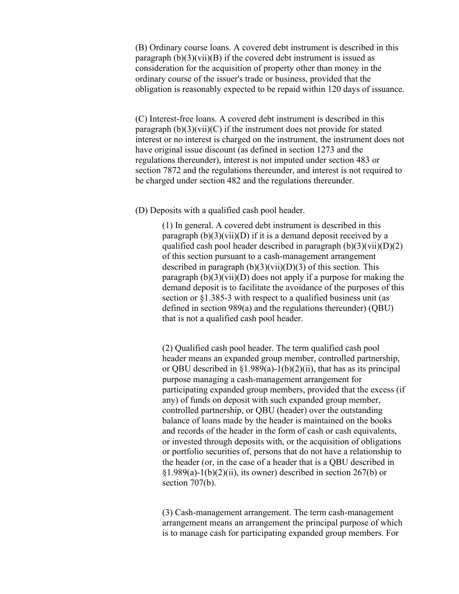(B) Ordinary course loans. A covered debt instrument is described in this paragraph  $(b)(3)(vii)(B)$  if the covered debt instrument is issued as consideration for the acquisition of property other than money in the ordinary course of the issuer's trade or business, provided that the obligation is reasonably expected to be repaid within 120 days of issuance.

(C) Interest-free loans. A covered debt instrument is described in this paragraph  $(b)(3)(vii)(C)$  if the instrument does not provide for stated interest or no interest is charged on the instrument, the instrument does not have original issue discount (as defined in section 1273 and the regulations thereunder), interest is not imputed under section 483 or section 7872 and the regulations thereunder, and interest is not required to be charged under section 482 and the regulations thereunder.

(D) Deposits with a qualified cash pool header.

(1) In general. A covered debt instrument is described in this paragraph  $(b)(3)(vii)(D)$  if it is a demand deposit received by a qualified cash pool header described in paragraph  $(b)(3)(\n{\rm vii})(D)(2)$ of this section pursuant to a cash-management arrangement described in paragraph  $(b)(3)(vi)(D)(3)$  of this section. This paragraph  $(b)(3)(vi)(D)$  does not apply if a purpose for making the demand deposit is to facilitate the avoidance of the purposes of this section or §1.385-3 with respect to a qualified business unit (as defined in section 989(a) and the regulations thereunder) (QBU) that is not a qualified cash pool header.

(2) Qualified cash pool header. The term qualified cash pool header means an expanded group member, controlled partnership, or QBU described in  $\S1.989(a) - 1(b)(2)(ii)$ , that has as its principal purpose managing a cash-management arrangement for participating expanded group members, provided that the excess (if any) of funds on deposit with such expanded group member, controlled partnership, or QBU (header) over the outstanding balance of loans made by the header is maintained on the books and records of the header in the form of cash or cash equivalents, or invested through deposits with, or the acquisition of obligations or portfolio securities of, persons that do not have a relationship to the header (or, in the case of a header that is a QBU described in  $§1.989(a)-1(b)(2)(ii)$ , its owner) described in section 267(b) or section 707(b).

(3) Cash-management arrangement. The term cash-management arrangement means an arrangement the principal purpose of which is to manage cash for participating expanded group members. For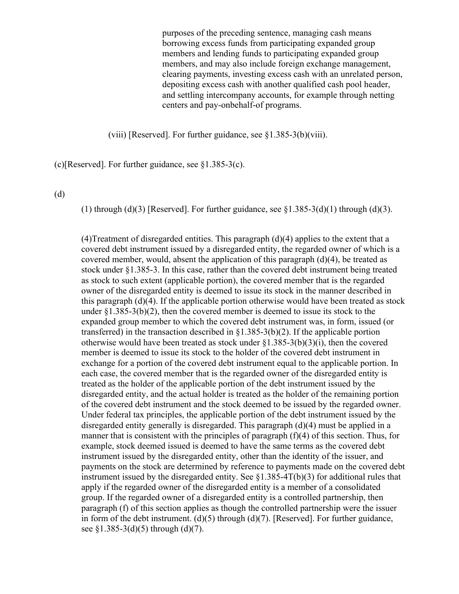purposes of the preceding sentence, managing cash means borrowing excess funds from participating expanded group members and lending funds to participating expanded group members, and may also include foreign exchange management, clearing payments, investing excess cash with an unrelated person, depositing excess cash with another qualified cash pool header, and settling intercompany accounts, for example through netting centers and pay-onbehalf-of programs.

(viii) [Reserved]. For further guidance, see §1.385-3(b)(viii).

(c)[Reserved]. For further guidance, see §1.385-3(c).

(d)

(1) through (d)(3) [Reserved]. For further guidance, see  $\S1.385-3(d)(1)$  through (d)(3).

(4)Treatment of disregarded entities. This paragraph  $(d)(4)$  applies to the extent that a covered debt instrument issued by a disregarded entity, the regarded owner of which is a covered member, would, absent the application of this paragraph  $(d)(4)$ , be treated as stock under §1.385-3. In this case, rather than the covered debt instrument being treated as stock to such extent (applicable portion), the covered member that is the regarded owner of the disregarded entity is deemed to issue its stock in the manner described in this paragraph (d)(4). If the applicable portion otherwise would have been treated as stock under  $\S1.385-3(b)(2)$ , then the covered member is deemed to issue its stock to the expanded group member to which the covered debt instrument was, in form, issued (or transferred) in the transaction described in §1.385-3(b)(2). If the applicable portion otherwise would have been treated as stock under §1.385-3(b)(3)(i), then the covered member is deemed to issue its stock to the holder of the covered debt instrument in exchange for a portion of the covered debt instrument equal to the applicable portion. In each case, the covered member that is the regarded owner of the disregarded entity is treated as the holder of the applicable portion of the debt instrument issued by the disregarded entity, and the actual holder is treated as the holder of the remaining portion of the covered debt instrument and the stock deemed to be issued by the regarded owner. Under federal tax principles, the applicable portion of the debt instrument issued by the disregarded entity generally is disregarded. This paragraph (d)(4) must be applied in a manner that is consistent with the principles of paragraph (f)(4) of this section. Thus, for example, stock deemed issued is deemed to have the same terms as the covered debt instrument issued by the disregarded entity, other than the identity of the issuer, and payments on the stock are determined by reference to payments made on the covered debt instrument issued by the disregarded entity. See  $\S1.385-4T(b)(3)$  for additional rules that apply if the regarded owner of the disregarded entity is a member of a consolidated group. If the regarded owner of a disregarded entity is a controlled partnership, then paragraph (f) of this section applies as though the controlled partnership were the issuer in form of the debt instrument. (d)(5) through (d)(7). [Reserved]. For further guidance, see  $$1.385-3(d)(5)$  through  $(d)(7)$ .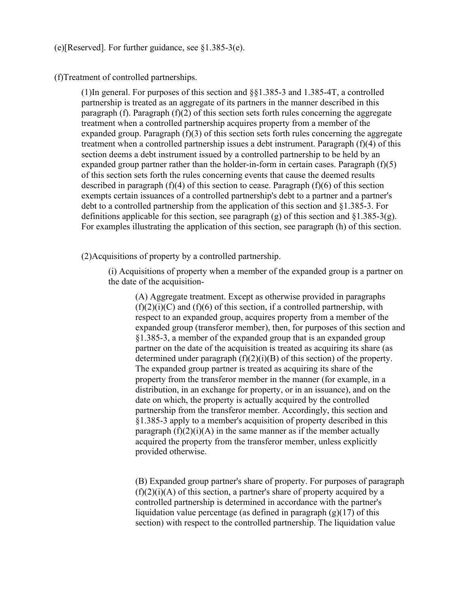(e)[Reserved]. For further guidance, see §1.385-3(e).

(f)Treatment of controlled partnerships.

(1)In general. For purposes of this section and §§1.385-3 and 1.385-4T, a controlled partnership is treated as an aggregate of its partners in the manner described in this paragraph (f). Paragraph (f)(2) of this section sets forth rules concerning the aggregate treatment when a controlled partnership acquires property from a member of the expanded group. Paragraph (f)(3) of this section sets forth rules concerning the aggregate treatment when a controlled partnership issues a debt instrument. Paragraph (f)(4) of this section deems a debt instrument issued by a controlled partnership to be held by an expanded group partner rather than the holder-in-form in certain cases. Paragraph  $(f)(5)$ of this section sets forth the rules concerning events that cause the deemed results described in paragraph  $(f)(4)$  of this section to cease. Paragraph  $(f)(6)$  of this section exempts certain issuances of a controlled partnership's debt to a partner and a partner's debt to a controlled partnership from the application of this section and §1.385-3. For definitions applicable for this section, see paragraph (g) of this section and  $\S1.385-3(g)$ . For examples illustrating the application of this section, see paragraph (h) of this section.

(2)Acquisitions of property by a controlled partnership.

(i) Acquisitions of property when a member of the expanded group is a partner on the date of the acquisition-

(A) Aggregate treatment. Except as otherwise provided in paragraphs  $(f)(2)(i)(C)$  and  $(f)(6)$  of this section, if a controlled partnership, with respect to an expanded group, acquires property from a member of the expanded group (transferor member), then, for purposes of this section and §1.385-3, a member of the expanded group that is an expanded group partner on the date of the acquisition is treated as acquiring its share (as determined under paragraph  $(f)(2)(i)(B)$  of this section) of the property. The expanded group partner is treated as acquiring its share of the property from the transferor member in the manner (for example, in a distribution, in an exchange for property, or in an issuance), and on the date on which, the property is actually acquired by the controlled partnership from the transferor member. Accordingly, this section and §1.385-3 apply to a member's acquisition of property described in this paragraph  $(f)(2)(i)(A)$  in the same manner as if the member actually acquired the property from the transferor member, unless explicitly provided otherwise.

(B) Expanded group partner's share of property. For purposes of paragraph  $(f)(2)(i)$ (A) of this section, a partner's share of property acquired by a controlled partnership is determined in accordance with the partner's liquidation value percentage (as defined in paragraph  $(g)(17)$  of this section) with respect to the controlled partnership. The liquidation value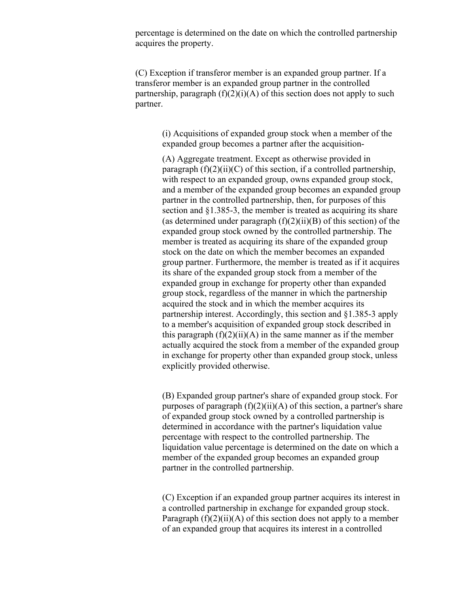percentage is determined on the date on which the controlled partnership acquires the property.

(C) Exception if transferor member is an expanded group partner. If a transferor member is an expanded group partner in the controlled partnership, paragraph  $(f)(2)(i)(A)$  of this section does not apply to such partner.

> (i) Acquisitions of expanded group stock when a member of the expanded group becomes a partner after the acquisition-

(A) Aggregate treatment. Except as otherwise provided in paragraph  $(f)(2)(ii)(C)$  of this section, if a controlled partnership, with respect to an expanded group, owns expanded group stock, and a member of the expanded group becomes an expanded group partner in the controlled partnership, then, for purposes of this section and §1.385-3, the member is treated as acquiring its share (as determined under paragraph  $(f)(2)(ii)(B)$  of this section) of the expanded group stock owned by the controlled partnership. The member is treated as acquiring its share of the expanded group stock on the date on which the member becomes an expanded group partner. Furthermore, the member is treated as if it acquires its share of the expanded group stock from a member of the expanded group in exchange for property other than expanded group stock, regardless of the manner in which the partnership acquired the stock and in which the member acquires its partnership interest. Accordingly, this section and §1.385-3 apply to a member's acquisition of expanded group stock described in this paragraph  $(f)(2)(ii)(A)$  in the same manner as if the member actually acquired the stock from a member of the expanded group in exchange for property other than expanded group stock, unless explicitly provided otherwise.

(B) Expanded group partner's share of expanded group stock. For purposes of paragraph  $(f)(2)(ii)(A)$  of this section, a partner's share of expanded group stock owned by a controlled partnership is determined in accordance with the partner's liquidation value percentage with respect to the controlled partnership. The liquidation value percentage is determined on the date on which a member of the expanded group becomes an expanded group partner in the controlled partnership.

(C) Exception if an expanded group partner acquires its interest in a controlled partnership in exchange for expanded group stock. Paragraph  $(f)(2)(ii)(A)$  of this section does not apply to a member of an expanded group that acquires its interest in a controlled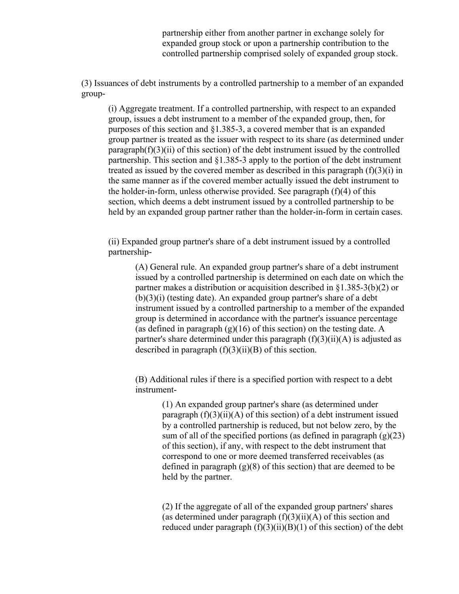partnership either from another partner in exchange solely for expanded group stock or upon a partnership contribution to the controlled partnership comprised solely of expanded group stock.

(3) Issuances of debt instruments by a controlled partnership to a member of an expanded group-

(i) Aggregate treatment. If a controlled partnership, with respect to an expanded group, issues a debt instrument to a member of the expanded group, then, for purposes of this section and §1.385-3, a covered member that is an expanded group partner is treated as the issuer with respect to its share (as determined under  $parazraph(f)(3)(ii)$  of this section) of the debt instrument issued by the controlled partnership. This section and §1.385-3 apply to the portion of the debt instrument treated as issued by the covered member as described in this paragraph  $(f)(3)(i)$  in the same manner as if the covered member actually issued the debt instrument to the holder-in-form, unless otherwise provided. See paragraph (f)(4) of this section, which deems a debt instrument issued by a controlled partnership to be held by an expanded group partner rather than the holder-in-form in certain cases.

(ii) Expanded group partner's share of a debt instrument issued by a controlled partnership-

(A) General rule. An expanded group partner's share of a debt instrument issued by a controlled partnership is determined on each date on which the partner makes a distribution or acquisition described in §1.385-3(b)(2) or (b)(3)(i) (testing date). An expanded group partner's share of a debt instrument issued by a controlled partnership to a member of the expanded group is determined in accordance with the partner's issuance percentage (as defined in paragraph  $(g)(16)$  of this section) on the testing date. A partner's share determined under this paragraph  $(f)(3)(ii)(A)$  is adjusted as described in paragraph  $(f)(3)(ii)(B)$  of this section.

(B) Additional rules if there is a specified portion with respect to a debt instrument-

> (1) An expanded group partner's share (as determined under paragraph  $(f)(3)(ii)(A)$  of this section) of a debt instrument issued by a controlled partnership is reduced, but not below zero, by the sum of all of the specified portions (as defined in paragraph  $(g)(23)$ ) of this section), if any, with respect to the debt instrument that correspond to one or more deemed transferred receivables (as defined in paragraph (g)(8) of this section) that are deemed to be held by the partner.

> (2) If the aggregate of all of the expanded group partners' shares (as determined under paragraph  $(f)(3)(ii)(A)$  of this section and reduced under paragraph  $(f)(3)(ii)(B)(1)$  of this section) of the debt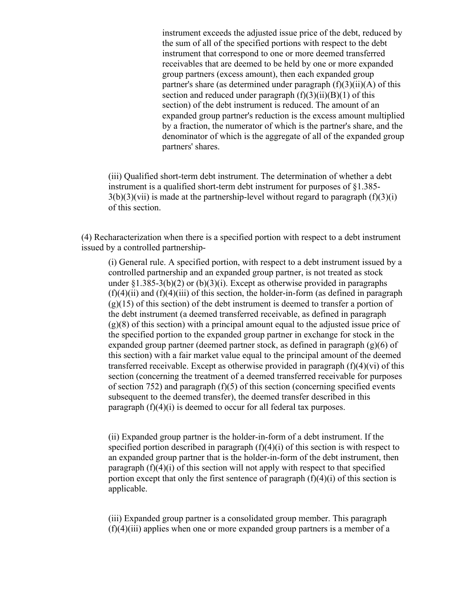instrument exceeds the adjusted issue price of the debt, reduced by the sum of all of the specified portions with respect to the debt instrument that correspond to one or more deemed transferred receivables that are deemed to be held by one or more expanded group partners (excess amount), then each expanded group partner's share (as determined under paragraph  $(f)(3)(ii)(A)$  of this section and reduced under paragraph  $(f)(3)(ii)(B)(1)$  of this section) of the debt instrument is reduced. The amount of an expanded group partner's reduction is the excess amount multiplied by a fraction, the numerator of which is the partner's share, and the denominator of which is the aggregate of all of the expanded group partners' shares.

(iii) Qualified short-term debt instrument. The determination of whether a debt instrument is a qualified short-term debt instrument for purposes of §1.385-  $3(b)(3)(vii)$  is made at the partnership-level without regard to paragraph  $(f)(3)(i)$ of this section.

(4) Recharacterization when there is a specified portion with respect to a debt instrument issued by a controlled partnership-

(i) General rule. A specified portion, with respect to a debt instrument issued by a controlled partnership and an expanded group partner, is not treated as stock under  $\S1.385-3(b)(2)$  or  $(b)(3)(i)$ . Except as otherwise provided in paragraphs  $(f)(4)(ii)$  and  $(f)(4)(iii)$  of this section, the holder-in-form (as defined in paragraph  $(g)(15)$  of this section) of the debt instrument is deemed to transfer a portion of the debt instrument (a deemed transferred receivable, as defined in paragraph (g)(8) of this section) with a principal amount equal to the adjusted issue price of the specified portion to the expanded group partner in exchange for stock in the expanded group partner (deemed partner stock, as defined in paragraph (g)(6) of this section) with a fair market value equal to the principal amount of the deemed transferred receivable. Except as otherwise provided in paragraph  $(f)(4)(vi)$  of this section (concerning the treatment of a deemed transferred receivable for purposes of section 752) and paragraph  $(f)(5)$  of this section (concerning specified events subsequent to the deemed transfer), the deemed transfer described in this paragraph (f)(4)(i) is deemed to occur for all federal tax purposes.

(ii) Expanded group partner is the holder-in-form of a debt instrument. If the specified portion described in paragraph (f)(4)(i) of this section is with respect to an expanded group partner that is the holder-in-form of the debt instrument, then paragraph (f)(4)(i) of this section will not apply with respect to that specified portion except that only the first sentence of paragraph  $(f)(4)(i)$  of this section is applicable.

(iii) Expanded group partner is a consolidated group member. This paragraph  $(f)(4)(iii)$  applies when one or more expanded group partners is a member of a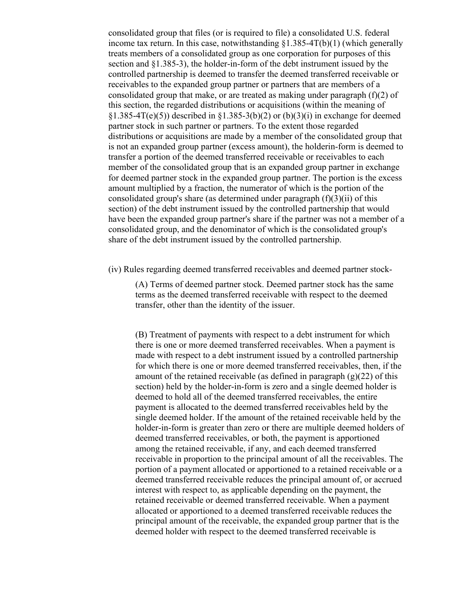consolidated group that files (or is required to file) a consolidated U.S. federal income tax return. In this case, notwithstanding  $\S1.385-4T(b)(1)$  (which generally treats members of a consolidated group as one corporation for purposes of this section and §1.385-3), the holder-in-form of the debt instrument issued by the controlled partnership is deemed to transfer the deemed transferred receivable or receivables to the expanded group partner or partners that are members of a consolidated group that make, or are treated as making under paragraph  $(f)(2)$  of this section, the regarded distributions or acquisitions (within the meaning of  $\S1.385-4T(e)(5)$ ) described in  $\S1.385-3(b)(2)$  or  $(b)(3)(i)$  in exchange for deemed partner stock in such partner or partners. To the extent those regarded distributions or acquisitions are made by a member of the consolidated group that is not an expanded group partner (excess amount), the holderin-form is deemed to transfer a portion of the deemed transferred receivable or receivables to each member of the consolidated group that is an expanded group partner in exchange for deemed partner stock in the expanded group partner. The portion is the excess amount multiplied by a fraction, the numerator of which is the portion of the consolidated group's share (as determined under paragraph (f)(3)(ii) of this section) of the debt instrument issued by the controlled partnership that would have been the expanded group partner's share if the partner was not a member of a consolidated group, and the denominator of which is the consolidated group's share of the debt instrument issued by the controlled partnership.

(iv) Rules regarding deemed transferred receivables and deemed partner stock-

(A) Terms of deemed partner stock. Deemed partner stock has the same terms as the deemed transferred receivable with respect to the deemed transfer, other than the identity of the issuer.

(B) Treatment of payments with respect to a debt instrument for which there is one or more deemed transferred receivables. When a payment is made with respect to a debt instrument issued by a controlled partnership for which there is one or more deemed transferred receivables, then, if the amount of the retained receivable (as defined in paragraph  $(g)(22)$  of this section) held by the holder-in-form is zero and a single deemed holder is deemed to hold all of the deemed transferred receivables, the entire payment is allocated to the deemed transferred receivables held by the single deemed holder. If the amount of the retained receivable held by the holder-in-form is greater than zero or there are multiple deemed holders of deemed transferred receivables, or both, the payment is apportioned among the retained receivable, if any, and each deemed transferred receivable in proportion to the principal amount of all the receivables. The portion of a payment allocated or apportioned to a retained receivable or a deemed transferred receivable reduces the principal amount of, or accrued interest with respect to, as applicable depending on the payment, the retained receivable or deemed transferred receivable. When a payment allocated or apportioned to a deemed transferred receivable reduces the principal amount of the receivable, the expanded group partner that is the deemed holder with respect to the deemed transferred receivable is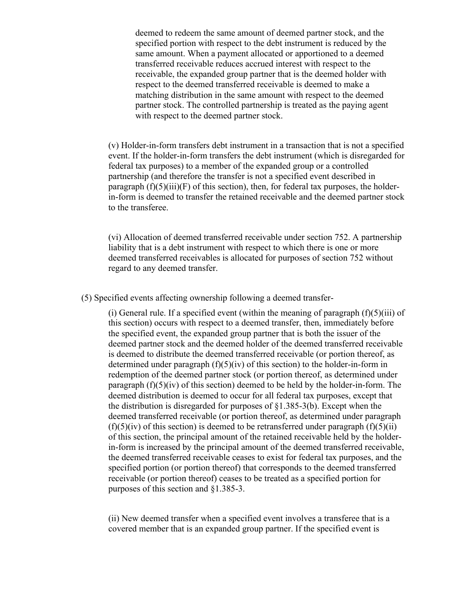deemed to redeem the same amount of deemed partner stock, and the specified portion with respect to the debt instrument is reduced by the same amount. When a payment allocated or apportioned to a deemed transferred receivable reduces accrued interest with respect to the receivable, the expanded group partner that is the deemed holder with respect to the deemed transferred receivable is deemed to make a matching distribution in the same amount with respect to the deemed partner stock. The controlled partnership is treated as the paying agent with respect to the deemed partner stock.

(v) Holder-in-form transfers debt instrument in a transaction that is not a specified event. If the holder-in-form transfers the debt instrument (which is disregarded for federal tax purposes) to a member of the expanded group or a controlled partnership (and therefore the transfer is not a specified event described in paragraph  $(f)(5)(iii)(F)$  of this section), then, for federal tax purposes, the holderin-form is deemed to transfer the retained receivable and the deemed partner stock to the transferee.

(vi) Allocation of deemed transferred receivable under section 752. A partnership liability that is a debt instrument with respect to which there is one or more deemed transferred receivables is allocated for purposes of section 752 without regard to any deemed transfer.

(5) Specified events affecting ownership following a deemed transfer-

(i) General rule. If a specified event (within the meaning of paragraph  $(f)(5)(iii)$  of this section) occurs with respect to a deemed transfer, then, immediately before the specified event, the expanded group partner that is both the issuer of the deemed partner stock and the deemed holder of the deemed transferred receivable is deemed to distribute the deemed transferred receivable (or portion thereof, as determined under paragraph  $(f)(5)(iv)$  of this section) to the holder-in-form in redemption of the deemed partner stock (or portion thereof, as determined under paragraph  $(f)(5)(iv)$  of this section) deemed to be held by the holder-in-form. The deemed distribution is deemed to occur for all federal tax purposes, except that the distribution is disregarded for purposes of §1.385-3(b). Except when the deemed transferred receivable (or portion thereof, as determined under paragraph  $(f)(5)(iv)$  of this section) is deemed to be retransferred under paragraph  $(f)(5)(ii)$ of this section, the principal amount of the retained receivable held by the holderin-form is increased by the principal amount of the deemed transferred receivable, the deemed transferred receivable ceases to exist for federal tax purposes, and the specified portion (or portion thereof) that corresponds to the deemed transferred receivable (or portion thereof) ceases to be treated as a specified portion for purposes of this section and §1.385-3.

(ii) New deemed transfer when a specified event involves a transferee that is a covered member that is an expanded group partner. If the specified event is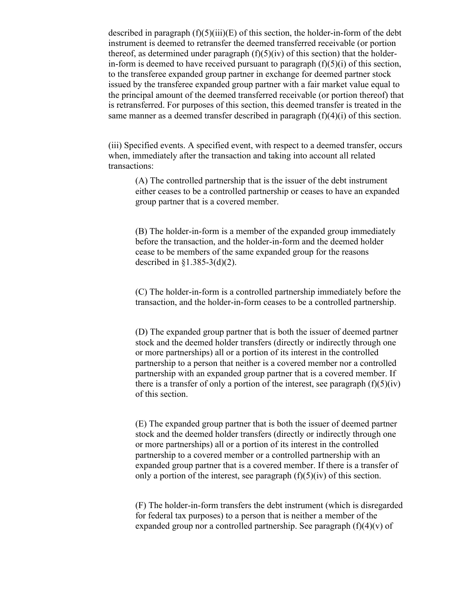described in paragraph  $(f)(5)(iii)(E)$  of this section, the holder-in-form of the debt instrument is deemed to retransfer the deemed transferred receivable (or portion thereof, as determined under paragraph  $(f)(5)(iv)$  of this section) that the holderin-form is deemed to have received pursuant to paragraph  $(f)(5)(i)$  of this section, to the transferee expanded group partner in exchange for deemed partner stock issued by the transferee expanded group partner with a fair market value equal to the principal amount of the deemed transferred receivable (or portion thereof) that is retransferred. For purposes of this section, this deemed transfer is treated in the same manner as a deemed transfer described in paragraph (f)(4)(i) of this section.

(iii) Specified events. A specified event, with respect to a deemed transfer, occurs when, immediately after the transaction and taking into account all related transactions:

(A) The controlled partnership that is the issuer of the debt instrument either ceases to be a controlled partnership or ceases to have an expanded group partner that is a covered member.

(B) The holder-in-form is a member of the expanded group immediately before the transaction, and the holder-in-form and the deemed holder cease to be members of the same expanded group for the reasons described in  $\S1.385-3(d)(2)$ .

(C) The holder-in-form is a controlled partnership immediately before the transaction, and the holder-in-form ceases to be a controlled partnership.

(D) The expanded group partner that is both the issuer of deemed partner stock and the deemed holder transfers (directly or indirectly through one or more partnerships) all or a portion of its interest in the controlled partnership to a person that neither is a covered member nor a controlled partnership with an expanded group partner that is a covered member. If there is a transfer of only a portion of the interest, see paragraph  $(f)(5)(iv)$ of this section.

(E) The expanded group partner that is both the issuer of deemed partner stock and the deemed holder transfers (directly or indirectly through one or more partnerships) all or a portion of its interest in the controlled partnership to a covered member or a controlled partnership with an expanded group partner that is a covered member. If there is a transfer of only a portion of the interest, see paragraph  $(f)(5)(iv)$  of this section.

(F) The holder-in-form transfers the debt instrument (which is disregarded for federal tax purposes) to a person that is neither a member of the expanded group nor a controlled partnership. See paragraph  $(f)(4)(v)$  of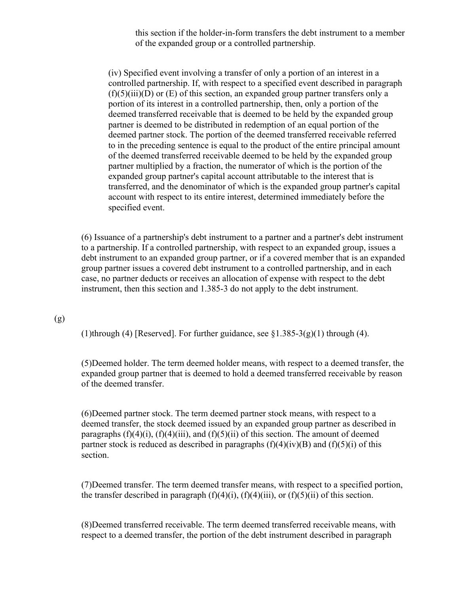this section if the holder-in-form transfers the debt instrument to a member of the expanded group or a controlled partnership.

(iv) Specified event involving a transfer of only a portion of an interest in a controlled partnership. If, with respect to a specified event described in paragraph  $(f)(5)(iii)(D)$  or  $(E)$  of this section, an expanded group partner transfers only a portion of its interest in a controlled partnership, then, only a portion of the deemed transferred receivable that is deemed to be held by the expanded group partner is deemed to be distributed in redemption of an equal portion of the deemed partner stock. The portion of the deemed transferred receivable referred to in the preceding sentence is equal to the product of the entire principal amount of the deemed transferred receivable deemed to be held by the expanded group partner multiplied by a fraction, the numerator of which is the portion of the expanded group partner's capital account attributable to the interest that is transferred, and the denominator of which is the expanded group partner's capital account with respect to its entire interest, determined immediately before the specified event.

(6) Issuance of a partnership's debt instrument to a partner and a partner's debt instrument to a partnership. If a controlled partnership, with respect to an expanded group, issues a debt instrument to an expanded group partner, or if a covered member that is an expanded group partner issues a covered debt instrument to a controlled partnership, and in each case, no partner deducts or receives an allocation of expense with respect to the debt instrument, then this section and 1.385-3 do not apply to the debt instrument.

### (g)

(1)through (4) [Reserved]. For further guidance, see  $\S1.385-3(g)(1)$  through (4).

(5)Deemed holder. The term deemed holder means, with respect to a deemed transfer, the expanded group partner that is deemed to hold a deemed transferred receivable by reason of the deemed transfer.

(6)Deemed partner stock. The term deemed partner stock means, with respect to a deemed transfer, the stock deemed issued by an expanded group partner as described in paragraphs  $(f)(4)(i)$ ,  $(f)(4)(iii)$ , and  $(f)(5)(ii)$  of this section. The amount of deemed partner stock is reduced as described in paragraphs  $(f)(4)(iv)(B)$  and  $(f)(5)(i)$  of this section.

(7)Deemed transfer. The term deemed transfer means, with respect to a specified portion, the transfer described in paragraph  $(f)(4)(i)$ ,  $(f)(4)(iii)$ , or  $(f)(5)(ii)$  of this section.

(8)Deemed transferred receivable. The term deemed transferred receivable means, with respect to a deemed transfer, the portion of the debt instrument described in paragraph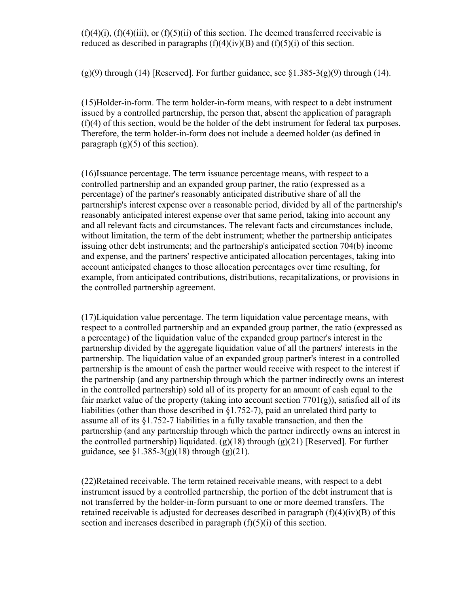$(f)(4)(i)$ ,  $(f)(4)(iii)$ , or  $(f)(5)(ii)$  of this section. The deemed transferred receivable is reduced as described in paragraphs  $(f)(4)(iv)(B)$  and  $(f)(5)(i)$  of this section.

 $(g)(9)$  through (14) [Reserved]. For further guidance, see §1.385-3(g)(9) through (14).

(15)Holder-in-form. The term holder-in-form means, with respect to a debt instrument issued by a controlled partnership, the person that, absent the application of paragraph (f)(4) of this section, would be the holder of the debt instrument for federal tax purposes. Therefore, the term holder-in-form does not include a deemed holder (as defined in paragraph  $(g)(5)$  of this section).

(16)Issuance percentage. The term issuance percentage means, with respect to a controlled partnership and an expanded group partner, the ratio (expressed as a percentage) of the partner's reasonably anticipated distributive share of all the partnership's interest expense over a reasonable period, divided by all of the partnership's reasonably anticipated interest expense over that same period, taking into account any and all relevant facts and circumstances. The relevant facts and circumstances include, without limitation, the term of the debt instrument; whether the partnership anticipates issuing other debt instruments; and the partnership's anticipated section 704(b) income and expense, and the partners' respective anticipated allocation percentages, taking into account anticipated changes to those allocation percentages over time resulting, for example, from anticipated contributions, distributions, recapitalizations, or provisions in the controlled partnership agreement.

(17)Liquidation value percentage. The term liquidation value percentage means, with respect to a controlled partnership and an expanded group partner, the ratio (expressed as a percentage) of the liquidation value of the expanded group partner's interest in the partnership divided by the aggregate liquidation value of all the partners' interests in the partnership. The liquidation value of an expanded group partner's interest in a controlled partnership is the amount of cash the partner would receive with respect to the interest if the partnership (and any partnership through which the partner indirectly owns an interest in the controlled partnership) sold all of its property for an amount of cash equal to the fair market value of the property (taking into account section  $7701(g)$ ), satisfied all of its liabilities (other than those described in §1.752-7), paid an unrelated third party to assume all of its §1.752-7 liabilities in a fully taxable transaction, and then the partnership (and any partnership through which the partner indirectly owns an interest in the controlled partnership) liquidated.  $(g)(18)$  through  $(g)(21)$  [Reserved]. For further guidance, see  $\S 1.385 - 3(g)(18)$  through  $(g)(21)$ .

(22)Retained receivable. The term retained receivable means, with respect to a debt instrument issued by a controlled partnership, the portion of the debt instrument that is not transferred by the holder-in-form pursuant to one or more deemed transfers. The retained receivable is adjusted for decreases described in paragraph (f)(4)(iv)(B) of this section and increases described in paragraph  $(f)(5)(i)$  of this section.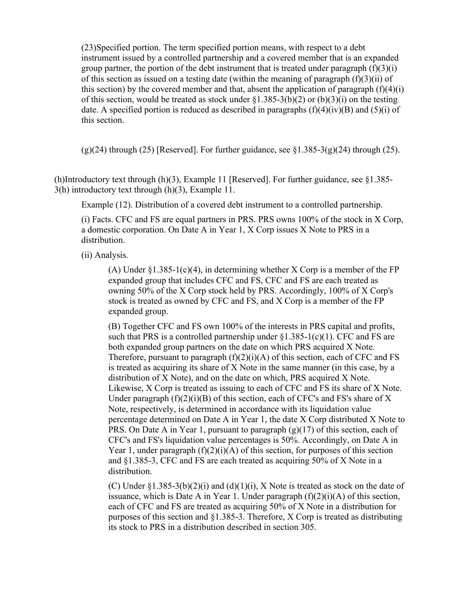(23)Specified portion. The term specified portion means, with respect to a debt instrument issued by a controlled partnership and a covered member that is an expanded group partner, the portion of the debt instrument that is treated under paragraph  $(f)(3)(i)$ of this section as issued on a testing date (within the meaning of paragraph  $(f)(3)(ii)$  of this section) by the covered member and that, absent the application of paragraph  $(f)(4)(i)$ of this section, would be treated as stock under  $\S1.385-3(b)(2)$  or  $(b)(3)(i)$  on the testing date. A specified portion is reduced as described in paragraphs  $(f)(4)(iv)(B)$  and  $(5)(i)$  of this section.

 $(g)(24)$  through (25) [Reserved]. For further guidance, see  $\S1.385-3(g)(24)$  through (25).

(h)Introductory text through (h)(3), Example 11 [Reserved]. For further guidance, see §1.385- 3(h) introductory text through (h)(3), Example 11.

Example (12). Distribution of a covered debt instrument to a controlled partnership.

(i) Facts. CFC and FS are equal partners in PRS. PRS owns 100% of the stock in X Corp, a domestic corporation. On Date A in Year 1, X Corp issues X Note to PRS in a distribution.

(ii) Analysis.

(A) Under  $\S1.385-1(c)(4)$ , in determining whether X Corp is a member of the FP expanded group that includes CFC and FS, CFC and FS are each treated as owning 50% of the X Corp stock held by PRS. Accordingly, 100% of X Corp's stock is treated as owned by CFC and FS, and X Corp is a member of the FP expanded group.

(B) Together CFC and FS own 100% of the interests in PRS capital and profits, such that PRS is a controlled partnership under  $\S1.385-1(c)(1)$ . CFC and FS are both expanded group partners on the date on which PRS acquired X Note. Therefore, pursuant to paragraph  $(f)(2)(i)(A)$  of this section, each of CFC and FS is treated as acquiring its share of X Note in the same manner (in this case, by a distribution of X Note), and on the date on which, PRS acquired X Note. Likewise, X Corp is treated as issuing to each of CFC and FS its share of X Note. Under paragraph  $(f)(2)(i)(B)$  of this section, each of CFC's and FS's share of X Note, respectively, is determined in accordance with its liquidation value percentage determined on Date A in Year 1, the date X Corp distributed X Note to PRS. On Date A in Year 1, pursuant to paragraph (g)(17) of this section, each of CFC's and FS's liquidation value percentages is 50%. Accordingly, on Date A in Year 1, under paragraph  $(f)(2)(i)(A)$  of this section, for purposes of this section and §1.385-3, CFC and FS are each treated as acquiring 50% of X Note in a distribution.

(C) Under  $\S1.385-3(b)(2)(i)$  and  $(d)(1)(i)$ , X Note is treated as stock on the date of issuance, which is Date A in Year 1. Under paragraph  $(f)(2)(i)(A)$  of this section, each of CFC and FS are treated as acquiring 50% of X Note in a distribution for purposes of this section and §1.385-3. Therefore, X Corp is treated as distributing its stock to PRS in a distribution described in section 305.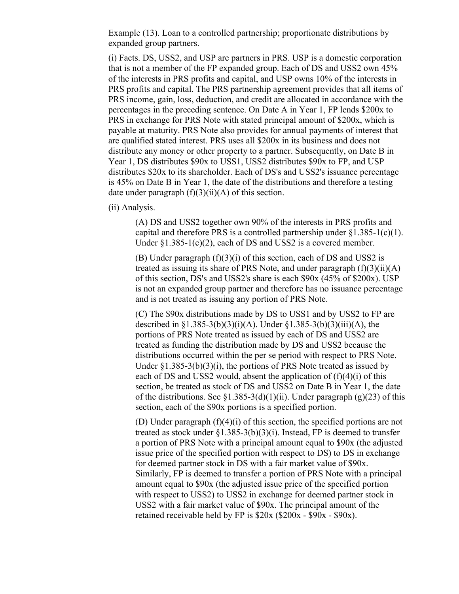Example (13). Loan to a controlled partnership; proportionate distributions by expanded group partners.

(i) Facts. DS, USS2, and USP are partners in PRS. USP is a domestic corporation that is not a member of the FP expanded group. Each of DS and USS2 own 45% of the interests in PRS profits and capital, and USP owns 10% of the interests in PRS profits and capital. The PRS partnership agreement provides that all items of PRS income, gain, loss, deduction, and credit are allocated in accordance with the percentages in the preceding sentence. On Date A in Year 1, FP lends \$200x to PRS in exchange for PRS Note with stated principal amount of \$200x, which is payable at maturity. PRS Note also provides for annual payments of interest that are qualified stated interest. PRS uses all \$200x in its business and does not distribute any money or other property to a partner. Subsequently, on Date B in Year 1, DS distributes \$90x to USS1, USS2 distributes \$90x to FP, and USP distributes \$20x to its shareholder. Each of DS's and USS2's issuance percentage is 45% on Date B in Year 1, the date of the distributions and therefore a testing date under paragraph  $(f)(3)(ii)(A)$  of this section.

(ii) Analysis.

(A) DS and USS2 together own 90% of the interests in PRS profits and capital and therefore PRS is a controlled partnership under  $\S1.385-1(c)(1)$ . Under §1.385-1(c)(2), each of DS and USS2 is a covered member.

(B) Under paragraph (f)(3)(i) of this section, each of DS and USS2 is treated as issuing its share of PRS Note, and under paragraph  $(f)(3)(ii)(A)$ of this section, DS's and USS2's share is each \$90x (45% of \$200x). USP is not an expanded group partner and therefore has no issuance percentage and is not treated as issuing any portion of PRS Note.

(C) The \$90x distributions made by DS to USS1 and by USS2 to FP are described in  $\S1.385-3(b)(3)(i)(A)$ . Under  $\S1.385-3(b)(3)(iii)(A)$ , the portions of PRS Note treated as issued by each of DS and USS2 are treated as funding the distribution made by DS and USS2 because the distributions occurred within the per se period with respect to PRS Note. Under §1.385-3(b)(3)(i), the portions of PRS Note treated as issued by each of DS and USS2 would, absent the application of  $(f)(4)(i)$  of this section, be treated as stock of DS and USS2 on Date B in Year 1, the date of the distributions. See  $\S1.385-3(d)(1)(ii)$ . Under paragraph (g)(23) of this section, each of the \$90x portions is a specified portion.

(D) Under paragraph (f)(4)(i) of this section, the specified portions are not treated as stock under  $\S1.385-3(b)(3)(i)$ . Instead, FP is deemed to transfer a portion of PRS Note with a principal amount equal to \$90x (the adjusted issue price of the specified portion with respect to DS) to DS in exchange for deemed partner stock in DS with a fair market value of \$90x. Similarly, FP is deemed to transfer a portion of PRS Note with a principal amount equal to \$90x (the adjusted issue price of the specified portion with respect to USS2) to USS2 in exchange for deemed partner stock in USS2 with a fair market value of \$90x. The principal amount of the retained receivable held by FP is \$20x (\$200x - \$90x - \$90x).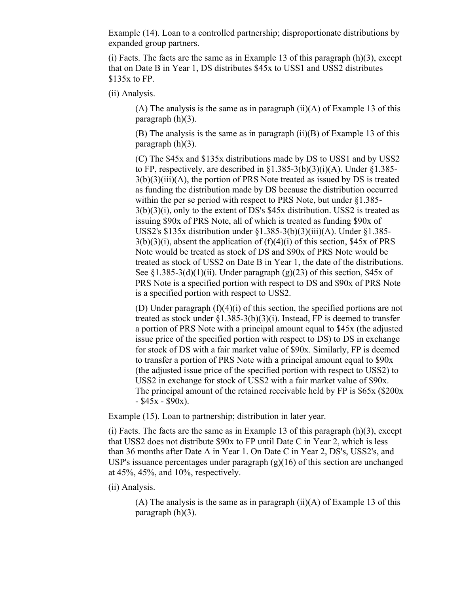Example (14). Loan to a controlled partnership; disproportionate distributions by expanded group partners.

 $(i)$  Facts. The facts are the same as in Example 13 of this paragraph  $(h)(3)$ , except that on Date B in Year 1, DS distributes \$45x to USS1 and USS2 distributes \$135x to FP.

(ii) Analysis.

(A) The analysis is the same as in paragraph  $(ii)(A)$  of Example 13 of this paragraph  $(h)(3)$ .

(B) The analysis is the same as in paragraph (ii)(B) of Example 13 of this paragraph (h)(3).

(C) The \$45x and \$135x distributions made by DS to USS1 and by USS2 to FP, respectively, are described in  $\S1.385-3(b)(3)(i)(A)$ . Under  $\S1.385 3(b)(3)(iii)(A)$ , the portion of PRS Note treated as issued by DS is treated as funding the distribution made by DS because the distribution occurred within the per se period with respect to PRS Note, but under §1.385- 3(b)(3)(i), only to the extent of DS's \$45x distribution. USS2 is treated as issuing \$90x of PRS Note, all of which is treated as funding \$90x of USS2's \$135x distribution under §1.385-3(b)(3)(iii)(A). Under §1.385-  $3(b)(3)(i)$ , absent the application of  $(f)(4)(i)$  of this section, \$45x of PRS Note would be treated as stock of DS and \$90x of PRS Note would be treated as stock of USS2 on Date B in Year 1, the date of the distributions. See §1.385-3(d)(1)(ii). Under paragraph (g)(23) of this section, \$45x of PRS Note is a specified portion with respect to DS and \$90x of PRS Note is a specified portion with respect to USS2.

(D) Under paragraph (f)(4)(i) of this section, the specified portions are not treated as stock under  $\S1.385-3(b)(3)(i)$ . Instead, FP is deemed to transfer a portion of PRS Note with a principal amount equal to \$45x (the adjusted issue price of the specified portion with respect to DS) to DS in exchange for stock of DS with a fair market value of \$90x. Similarly, FP is deemed to transfer a portion of PRS Note with a principal amount equal to \$90x (the adjusted issue price of the specified portion with respect to USS2) to USS2 in exchange for stock of USS2 with a fair market value of \$90x. The principal amount of the retained receivable held by FP is \$65x (\$200x  $-$  \$45x - \$90x).

Example (15). Loan to partnership; distribution in later year.

(i) Facts. The facts are the same as in Example 13 of this paragraph  $(h)(3)$ , except that USS2 does not distribute \$90x to FP until Date C in Year 2, which is less than 36 months after Date A in Year 1. On Date C in Year 2, DS's, USS2's, and USP's issuance percentages under paragraph (g)(16) of this section are unchanged at 45%, 45%, and 10%, respectively.

(ii) Analysis.

(A) The analysis is the same as in paragraph  $(ii)(A)$  of Example 13 of this paragraph (h)(3).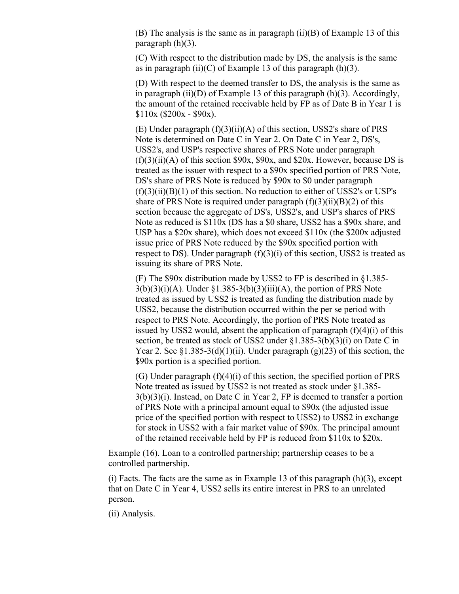(B) The analysis is the same as in paragraph (ii)(B) of Example 13 of this paragraph  $(h)(3)$ .

(C) With respect to the distribution made by DS, the analysis is the same as in paragraph  $(ii)(C)$  of Example 13 of this paragraph  $(h)(3)$ .

(D) With respect to the deemed transfer to DS, the analysis is the same as in paragraph  $(ii)(D)$  of Example 13 of this paragraph  $(h)(3)$ . Accordingly, the amount of the retained receivable held by FP as of Date B in Year 1 is  $$110x ($200x - $90x).$ 

(E) Under paragraph (f)(3)(ii)(A) of this section, USS2's share of PRS Note is determined on Date C in Year 2. On Date C in Year 2, DS's, USS2's, and USP's respective shares of PRS Note under paragraph  $(f)(3)(ii)(A)$  of this section \$90x, \$90x, and \$20x. However, because DS is treated as the issuer with respect to a \$90x specified portion of PRS Note, DS's share of PRS Note is reduced by \$90x to \$0 under paragraph  $(f)(3)(ii)(B)(1)$  of this section. No reduction to either of USS2's or USP's share of PRS Note is required under paragraph  $(f)(3)(ii)(B)(2)$  of this section because the aggregate of DS's, USS2's, and USP's shares of PRS Note as reduced is \$110x (DS has a \$0 share, USS2 has a \$90x share, and USP has a \$20x share), which does not exceed \$110x (the \$200x adjusted issue price of PRS Note reduced by the \$90x specified portion with respect to DS). Under paragraph (f)(3)(i) of this section, USS2 is treated as issuing its share of PRS Note.

(F) The \$90x distribution made by USS2 to FP is described in §1.385-  $3(b)(3)(i)(A)$ . Under §1.385-3(b)(3)(iii)(A), the portion of PRS Note treated as issued by USS2 is treated as funding the distribution made by USS2, because the distribution occurred within the per se period with respect to PRS Note. Accordingly, the portion of PRS Note treated as issued by USS2 would, absent the application of paragraph  $(f)(4)(i)$  of this section, be treated as stock of USS2 under §1.385-3(b)(3)(i) on Date C in Year 2. See  $\S1.385-3(d)(1)(ii)$ . Under paragraph (g)(23) of this section, the \$90x portion is a specified portion.

(G) Under paragraph (f)(4)(i) of this section, the specified portion of PRS Note treated as issued by USS2 is not treated as stock under §1.385- 3(b)(3)(i). Instead, on Date C in Year 2, FP is deemed to transfer a portion of PRS Note with a principal amount equal to \$90x (the adjusted issue price of the specified portion with respect to USS2) to USS2 in exchange for stock in USS2 with a fair market value of \$90x. The principal amount of the retained receivable held by FP is reduced from \$110x to \$20x.

Example (16). Loan to a controlled partnership; partnership ceases to be a controlled partnership.

 $(i)$  Facts. The facts are the same as in Example 13 of this paragraph  $(h)(3)$ , except that on Date C in Year 4, USS2 sells its entire interest in PRS to an unrelated person.

(ii) Analysis.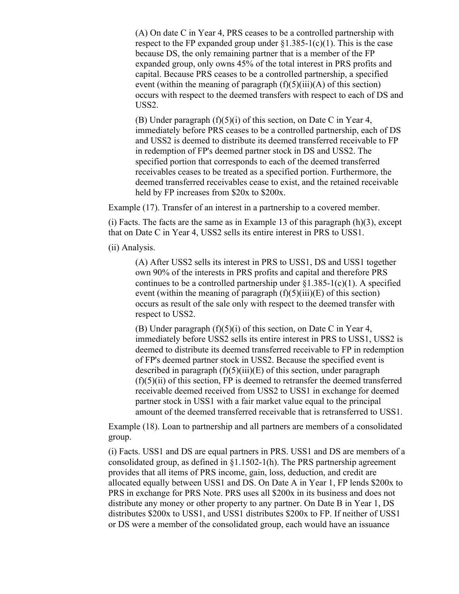(A) On date C in Year 4, PRS ceases to be a controlled partnership with respect to the FP expanded group under  $\S1.385-1(c)(1)$ . This is the case because DS, the only remaining partner that is a member of the FP expanded group, only owns 45% of the total interest in PRS profits and capital. Because PRS ceases to be a controlled partnership, a specified event (within the meaning of paragraph  $(f)(5)(iii)(A)$  of this section) occurs with respect to the deemed transfers with respect to each of DS and USS2.

(B) Under paragraph (f)(5)(i) of this section, on Date C in Year 4, immediately before PRS ceases to be a controlled partnership, each of DS and USS2 is deemed to distribute its deemed transferred receivable to FP in redemption of FP's deemed partner stock in DS and USS2. The specified portion that corresponds to each of the deemed transferred receivables ceases to be treated as a specified portion. Furthermore, the deemed transferred receivables cease to exist, and the retained receivable held by FP increases from \$20x to \$200x.

Example (17). Transfer of an interest in a partnership to a covered member.

(i) Facts. The facts are the same as in Example 13 of this paragraph  $(h)(3)$ , except that on Date C in Year 4, USS2 sells its entire interest in PRS to USS1.

(ii) Analysis.

(A) After USS2 sells its interest in PRS to USS1, DS and USS1 together own 90% of the interests in PRS profits and capital and therefore PRS continues to be a controlled partnership under  $\S1.385-1(c)(1)$ . A specified event (within the meaning of paragraph  $(f)(5)(iii)(E)$  of this section) occurs as result of the sale only with respect to the deemed transfer with respect to USS2.

(B) Under paragraph  $(f)(5)(i)$  of this section, on Date C in Year 4, immediately before USS2 sells its entire interest in PRS to USS1, USS2 is deemed to distribute its deemed transferred receivable to FP in redemption of FP's deemed partner stock in USS2. Because the specified event is described in paragraph  $(f)(5)(iii)(E)$  of this section, under paragraph  $(f)(5)(ii)$  of this section, FP is deemed to retransfer the deemed transferred receivable deemed received from USS2 to USS1 in exchange for deemed partner stock in USS1 with a fair market value equal to the principal amount of the deemed transferred receivable that is retransferred to USS1.

Example (18). Loan to partnership and all partners are members of a consolidated group.

(i) Facts. USS1 and DS are equal partners in PRS. USS1 and DS are members of a consolidated group, as defined in §1.1502-1(h). The PRS partnership agreement provides that all items of PRS income, gain, loss, deduction, and credit are allocated equally between USS1 and DS. On Date A in Year 1, FP lends \$200x to PRS in exchange for PRS Note. PRS uses all \$200x in its business and does not distribute any money or other property to any partner. On Date B in Year 1, DS distributes \$200x to USS1, and USS1 distributes \$200x to FP. If neither of USS1 or DS were a member of the consolidated group, each would have an issuance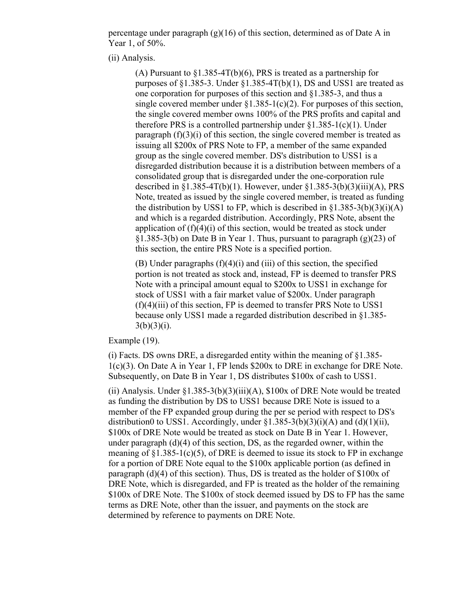percentage under paragraph  $(g)(16)$  of this section, determined as of Date A in Year 1, of 50%.

(ii) Analysis.

(A) Pursuant to  $\S1.385-4T(b)(6)$ , PRS is treated as a partnership for purposes of  $\S1.385-3$ . Under  $\S1.385-4T(b)(1)$ , DS and USS1 are treated as one corporation for purposes of this section and §1.385-3, and thus a single covered member under  $\S1.385-1(c)(2)$ . For purposes of this section, the single covered member owns 100% of the PRS profits and capital and therefore PRS is a controlled partnership under  $\S1.385-1(c)(1)$ . Under paragraph  $(f)(3)(i)$  of this section, the single covered member is treated as issuing all \$200x of PRS Note to FP, a member of the same expanded group as the single covered member. DS's distribution to USS1 is a disregarded distribution because it is a distribution between members of a consolidated group that is disregarded under the one-corporation rule described in  $\S1.385-4T(b)(1)$ . However, under  $\S1.385-3(b)(3)(iii)(A)$ , PRS Note, treated as issued by the single covered member, is treated as funding the distribution by USS1 to FP, which is described in  $$1.385-3(b)(3)(i)(A)$ and which is a regarded distribution. Accordingly, PRS Note, absent the application of  $(f)(4)(i)$  of this section, would be treated as stock under §1.385-3(b) on Date B in Year 1. Thus, pursuant to paragraph  $(g)(23)$  of this section, the entire PRS Note is a specified portion.

 $(B)$  Under paragraphs  $(f)(4)(i)$  and  $(iii)$  of this section, the specified portion is not treated as stock and, instead, FP is deemed to transfer PRS Note with a principal amount equal to \$200x to USS1 in exchange for stock of USS1 with a fair market value of \$200x. Under paragraph  $(f)(4)(iii)$  of this section, FP is deemed to transfer PRS Note to USS1 because only USS1 made a regarded distribution described in §1.385-  $3(b)(3)(i)$ .

Example (19).

(i) Facts. DS owns DRE, a disregarded entity within the meaning of §1.385- 1(c)(3). On Date A in Year 1, FP lends \$200x to DRE in exchange for DRE Note. Subsequently, on Date B in Year 1, DS distributes \$100x of cash to USS1.

(ii) Analysis. Under  $\S1.385-3(b)(3)(iii)(A)$ ,  $\S100x$  of DRE Note would be treated as funding the distribution by DS to USS1 because DRE Note is issued to a member of the FP expanded group during the per se period with respect to DS's distribution0 to USS1. Accordingly, under  $\S1.385-3(b)(3)(i)(A)$  and  $(d)(1)(ii)$ , \$100x of DRE Note would be treated as stock on Date B in Year 1. However, under paragraph (d)(4) of this section, DS, as the regarded owner, within the meaning of  $\S1.385-1(c)(5)$ , of DRE is deemed to issue its stock to FP in exchange for a portion of DRE Note equal to the \$100x applicable portion (as defined in paragraph (d)(4) of this section). Thus, DS is treated as the holder of \$100x of DRE Note, which is disregarded, and FP is treated as the holder of the remaining \$100x of DRE Note. The \$100x of stock deemed issued by DS to FP has the same terms as DRE Note, other than the issuer, and payments on the stock are determined by reference to payments on DRE Note.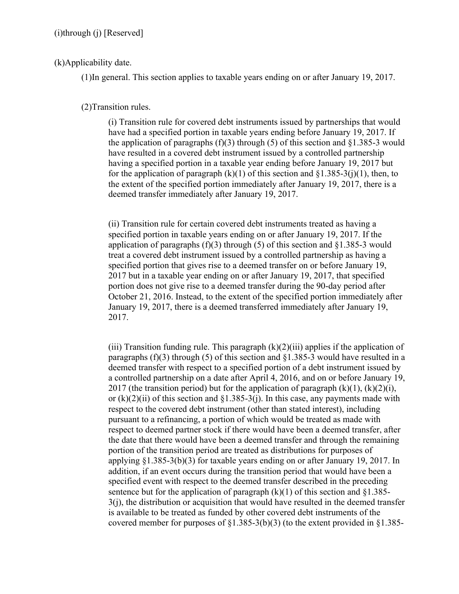## (k)Applicability date.

(1)In general. This section applies to taxable years ending on or after January 19, 2017.

## (2)Transition rules.

(i) Transition rule for covered debt instruments issued by partnerships that would have had a specified portion in taxable years ending before January 19, 2017. If the application of paragraphs  $(f)(3)$  through  $(5)$  of this section and §1.385-3 would have resulted in a covered debt instrument issued by a controlled partnership having a specified portion in a taxable year ending before January 19, 2017 but for the application of paragraph  $(k)(1)$  of this section and  $\S 1.385-3(j)(1)$ , then, to the extent of the specified portion immediately after January 19, 2017, there is a deemed transfer immediately after January 19, 2017.

(ii) Transition rule for certain covered debt instruments treated as having a specified portion in taxable years ending on or after January 19, 2017. If the application of paragraphs (f)(3) through (5) of this section and  $\S1.385-3$  would treat a covered debt instrument issued by a controlled partnership as having a specified portion that gives rise to a deemed transfer on or before January 19, 2017 but in a taxable year ending on or after January 19, 2017, that specified portion does not give rise to a deemed transfer during the 90-day period after October 21, 2016. Instead, to the extent of the specified portion immediately after January 19, 2017, there is a deemed transferred immediately after January 19, 2017.

(iii) Transition funding rule. This paragraph  $(k)(2)(iii)$  applies if the application of paragraphs (f)(3) through (5) of this section and  $\S1.385-3$  would have resulted in a deemed transfer with respect to a specified portion of a debt instrument issued by a controlled partnership on a date after April 4, 2016, and on or before January 19, 2017 (the transition period) but for the application of paragraph  $(k)(1)$ ,  $(k)(2)(i)$ , or  $(k)(2)(ii)$  of this section and  $\S1.385-3(i)$ . In this case, any payments made with respect to the covered debt instrument (other than stated interest), including pursuant to a refinancing, a portion of which would be treated as made with respect to deemed partner stock if there would have been a deemed transfer, after the date that there would have been a deemed transfer and through the remaining portion of the transition period are treated as distributions for purposes of applying  $\S1.385-3(b)(3)$  for taxable years ending on or after January 19, 2017. In addition, if an event occurs during the transition period that would have been a specified event with respect to the deemed transfer described in the preceding sentence but for the application of paragraph  $(k)(1)$  of this section and §1.385-3(j), the distribution or acquisition that would have resulted in the deemed transfer is available to be treated as funded by other covered debt instruments of the covered member for purposes of  $\S1.385-3(b)(3)$  (to the extent provided in  $\S1.385-$